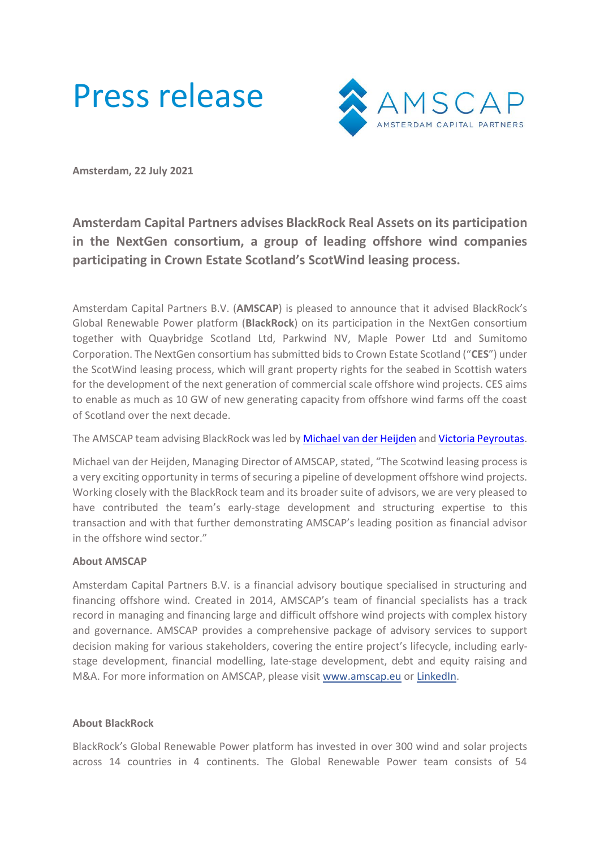



**Amsterdam, 22 July 2021**

## **Amsterdam Capital Partners advises BlackRock Real Assets on its participation in the NextGen consortium, a group of leading offshore wind companies participating in Crown Estate Scotland's ScotWind leasing process.**

Amsterdam Capital Partners B.V. (**AMSCAP**) is pleased to announce that it advised BlackRock's Global Renewable Power platform (**BlackRock**) on its participation in the NextGen consortium together with Quaybridge Scotland Ltd, Parkwind NV, Maple Power Ltd and Sumitomo Corporation. The NextGen consortium has submitted bids to Crown Estate Scotland ("**CES**") under the ScotWind leasing process, which will grant property rights for the seabed in Scottish waters for the development of the next generation of commercial scale offshore wind projects. CES aims to enable as much as 10 GW of new generating capacity from offshore wind farms off the coast of Scotland over the next decade.

## The AMSCAP team advising BlackRock was led b[y Michael van der Heijden](http://amscap.eu/team/michael-van-der-heijden/) an[d Victoria Peyroutas.](http://amscap.eu/team/victoria-peyroutas/)

Michael van der Heijden, Managing Director of AMSCAP, stated, "The Scotwind leasing process is a very exciting opportunity in terms of securing a pipeline of development offshore wind projects. Working closely with the BlackRock team and its broader suite of advisors, we are very pleased to have contributed the team's early-stage development and structuring expertise to this transaction and with that further demonstrating AMSCAP's leading position as financial advisor in the offshore wind sector."

## **About AMSCAP**

Amsterdam Capital Partners B.V. is a financial advisory boutique specialised in structuring and financing offshore wind. Created in 2014, AMSCAP's team of financial specialists has a track record in managing and financing large and difficult offshore wind projects with complex history and governance. AMSCAP provides a comprehensive package of advisory services to support decision making for various stakeholders, covering the entire project's lifecycle, including earlystage development, financial modelling, late-stage development, debt and equity raising and M&A. For more information on AMSCAP, please visit [www.amscap.eu](http://www.amscap.eu/) o[r LinkedIn.](https://www.linkedin.com/company/amsterdam-capital-partners/?viewAsMember=true)

## **About BlackRock**

BlackRock's Global Renewable Power platform has invested in over 300 wind and solar projects across 14 countries in 4 continents. The Global Renewable Power team consists of 54